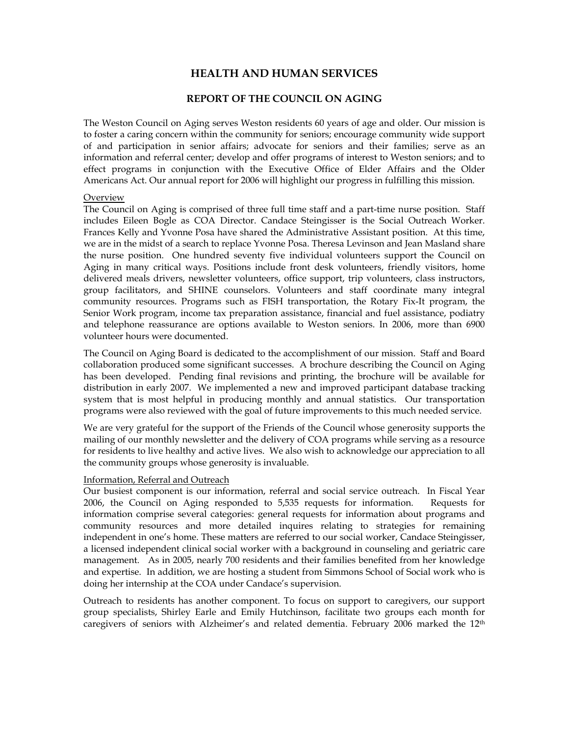# **HEALTH AND HUMAN SERVICES**

# **REPORT OF THE COUNCIL ON AGING**

The Weston Council on Aging serves Weston residents 60 years of age and older. Our mission is to foster a caring concern within the community for seniors; encourage community wide support of and participation in senior affairs; advocate for seniors and their families; serve as an information and referral center; develop and offer programs of interest to Weston seniors; and to effect programs in conjunction with the Executive Office of Elder Affairs and the Older Americans Act. Our annual report for 2006 will highlight our progress in fulfilling this mission.

## Overview

The Council on Aging is comprised of three full time staff and a part-time nurse position. Staff includes Eileen Bogle as COA Director. Candace Steingisser is the Social Outreach Worker. Frances Kelly and Yvonne Posa have shared the Administrative Assistant position. At this time, we are in the midst of a search to replace Yvonne Posa. Theresa Levinson and Jean Masland share the nurse position. One hundred seventy five individual volunteers support the Council on Aging in many critical ways. Positions include front desk volunteers, friendly visitors, home delivered meals drivers, newsletter volunteers, office support, trip volunteers, class instructors, group facilitators, and SHINE counselors. Volunteers and staff coordinate many integral community resources. Programs such as FISH transportation, the Rotary Fix-It program, the Senior Work program, income tax preparation assistance, financial and fuel assistance, podiatry and telephone reassurance are options available to Weston seniors. In 2006, more than 6900 volunteer hours were documented.

The Council on Aging Board is dedicated to the accomplishment of our mission. Staff and Board collaboration produced some significant successes. A brochure describing the Council on Aging has been developed. Pending final revisions and printing, the brochure will be available for distribution in early 2007. We implemented a new and improved participant database tracking system that is most helpful in producing monthly and annual statistics. Our transportation programs were also reviewed with the goal of future improvements to this much needed service.

We are very grateful for the support of the Friends of the Council whose generosity supports the mailing of our monthly newsletter and the delivery of COA programs while serving as a resource for residents to live healthy and active lives. We also wish to acknowledge our appreciation to all the community groups whose generosity is invaluable.

## Information, Referral and Outreach

Our busiest component is our information, referral and social service outreach. In Fiscal Year 2006, the Council on Aging responded to 5,535 requests for information. Requests for information comprise several categories: general requests for information about programs and community resources and more detailed inquires relating to strategies for remaining independent in one's home. These matters are referred to our social worker, Candace Steingisser, a licensed independent clinical social worker with a background in counseling and geriatric care management. As in 2005, nearly 700 residents and their families benefited from her knowledge and expertise. In addition, we are hosting a student from Simmons School of Social work who is doing her internship at the COA under Candace's supervision.

Outreach to residents has another component. To focus on support to caregivers, our support group specialists, Shirley Earle and Emily Hutchinson, facilitate two groups each month for caregivers of seniors with Alzheimer's and related dementia. February 2006 marked the 12<sup>th</sup>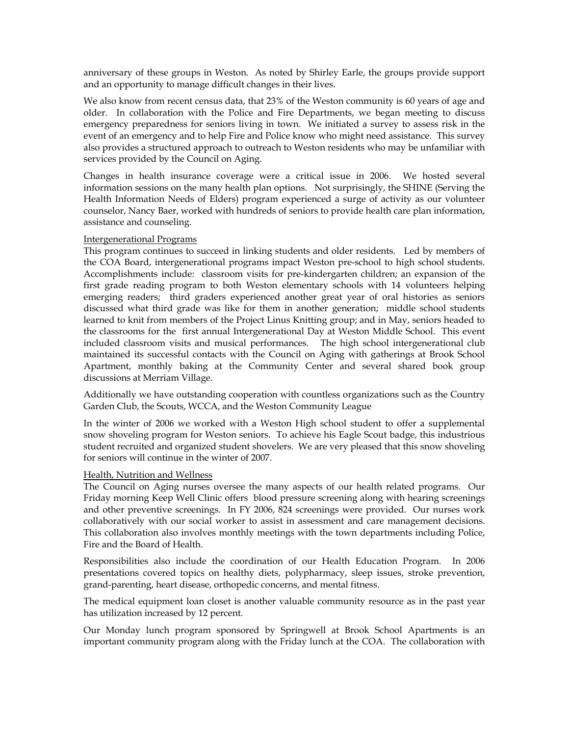anniversary of these groups in Weston. As noted by Shirley Earle, the groups provide support and an opportunity to manage difficult changes in their lives.

We also know from recent census data, that 23% of the Weston community is 60 years of age and older. In collaboration with the Police and Fire Departments, we began meeting to discuss emergency preparedness for seniors living in town. We initiated a survey to assess risk in the event of an emergency and to help Fire and Police know who might need assistance. This survey also provides a structured approach to outreach to Weston residents who may be unfamiliar with services provided by the Council on Aging.

Changes in health insurance coverage were a critical issue in 2006. We hosted several information sessions on the many health plan options. Not surprisingly, the SHINE (Serving the Health Information Needs of Elders) program experienced a surge of activity as our volunteer counselor, Nancy Baer, worked with hundreds of seniors to provide health care plan information, assistance and counseling.

## Intergenerational Programs

This program continues to succeed in linking students and older residents. Led by members of the COA Board, intergenerational programs impact Weston pre-school to high school students. Accomplishments include: classroom visits for pre-kindergarten children; an expansion of the first grade reading program to both Weston elementary schools with 14 volunteers helping emerging readers; third graders experienced another great year of oral histories as seniors discussed what third grade was like for them in another generation; middle school students learned to knit from members of the Project Linus Knitting group; and in May, seniors headed to the classrooms for the first annual Intergenerational Day at Weston Middle School. This event included classroom visits and musical performances. The high school intergenerational club maintained its successful contacts with the Council on Aging with gatherings at Brook School Apartment, monthly baking at the Community Center and several shared book group discussions at Merriam Village.

Additionally we have outstanding cooperation with countless organizations such as the Country Garden Club, the Scouts, WCCA, and the Weston Community League

In the winter of 2006 we worked with a Weston High school student to offer a supplemental snow shoveling program for Weston seniors. To achieve his Eagle Scout badge, this industrious student recruited and organized student shovelers. We are very pleased that this snow shoveling for seniors will continue in the winter of 2007.

## Health, Nutrition and Wellness

The Council on Aging nurses oversee the many aspects of our health related programs. Our Friday morning Keep Well Clinic offers blood pressure screening along with hearing screenings and other preventive screenings. In FY 2006, 824 screenings were provided. Our nurses work collaboratively with our social worker to assist in assessment and care management decisions. This collaboration also involves monthly meetings with the town departments including Police, Fire and the Board of Health.

Responsibilities also include the coordination of our Health Education Program. In 2006 presentations covered topics on healthy diets, polypharmacy, sleep issues, stroke prevention, grand-parenting, heart disease, orthopedic concerns, and mental fitness.

The medical equipment loan closet is another valuable community resource as in the past year has utilization increased by 12 percent.

Our Monday lunch program sponsored by Springwell at Brook School Apartments is an important community program along with the Friday lunch at the COA. The collaboration with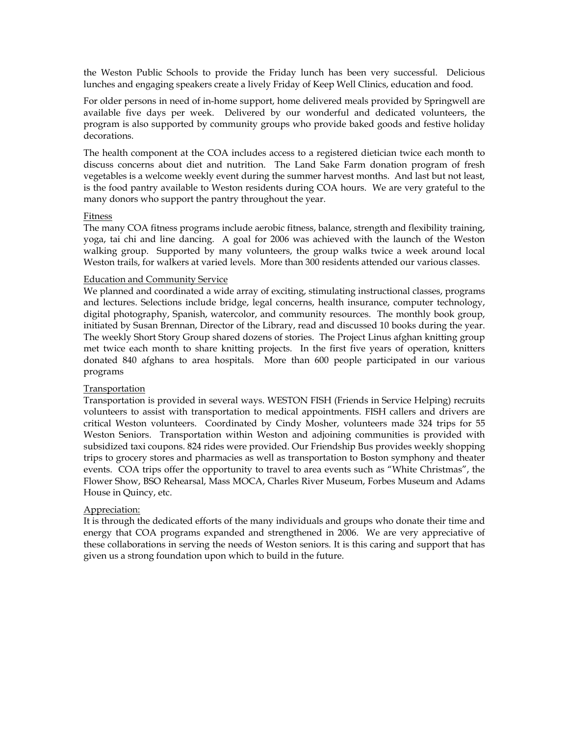the Weston Public Schools to provide the Friday lunch has been very successful. Delicious lunches and engaging speakers create a lively Friday of Keep Well Clinics, education and food.

For older persons in need of in-home support, home delivered meals provided by Springwell are available five days per week. Delivered by our wonderful and dedicated volunteers, the program is also supported by community groups who provide baked goods and festive holiday decorations.

The health component at the COA includes access to a registered dietician twice each month to discuss concerns about diet and nutrition. The Land Sake Farm donation program of fresh vegetables is a welcome weekly event during the summer harvest months. And last but not least, is the food pantry available to Weston residents during COA hours. We are very grateful to the many donors who support the pantry throughout the year.

### Fitness

The many COA fitness programs include aerobic fitness, balance, strength and flexibility training, yoga, tai chi and line dancing. A goal for 2006 was achieved with the launch of the Weston walking group. Supported by many volunteers, the group walks twice a week around local Weston trails, for walkers at varied levels. More than 300 residents attended our various classes.

### Education and Community Service

We planned and coordinated a wide array of exciting, stimulating instructional classes, programs and lectures. Selections include bridge, legal concerns, health insurance, computer technology, digital photography, Spanish, watercolor, and community resources. The monthly book group, initiated by Susan Brennan, Director of the Library, read and discussed 10 books during the year. The weekly Short Story Group shared dozens of stories. The Project Linus afghan knitting group met twice each month to share knitting projects. In the first five years of operation, knitters donated 840 afghans to area hospitals. More than 600 people participated in our various programs

## Transportation

Transportation is provided in several ways. WESTON FISH (Friends in Service Helping) recruits volunteers to assist with transportation to medical appointments. FISH callers and drivers are critical Weston volunteers. Coordinated by Cindy Mosher, volunteers made 324 trips for 55 Weston Seniors. Transportation within Weston and adjoining communities is provided with subsidized taxi coupons. 824 rides were provided. Our Friendship Bus provides weekly shopping trips to grocery stores and pharmacies as well as transportation to Boston symphony and theater events. COA trips offer the opportunity to travel to area events such as "White Christmas", the Flower Show, BSO Rehearsal, Mass MOCA, Charles River Museum, Forbes Museum and Adams House in Quincy, etc.

## Appreciation:

It is through the dedicated efforts of the many individuals and groups who donate their time and energy that COA programs expanded and strengthened in 2006. We are very appreciative of these collaborations in serving the needs of Weston seniors. It is this caring and support that has given us a strong foundation upon which to build in the future.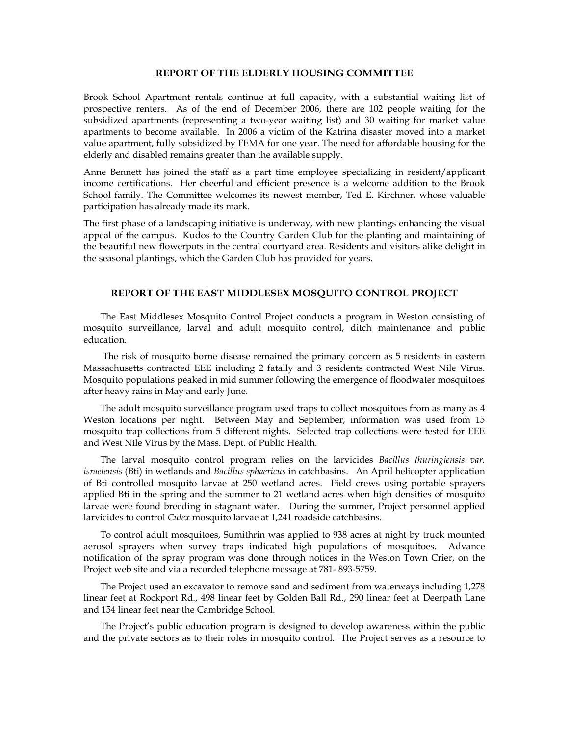#### **REPORT OF THE ELDERLY HOUSING COMMITTEE**

Brook School Apartment rentals continue at full capacity, with a substantial waiting list of prospective renters. As of the end of December 2006, there are 102 people waiting for the subsidized apartments (representing a two-year waiting list) and 30 waiting for market value apartments to become available. In 2006 a victim of the Katrina disaster moved into a market value apartment, fully subsidized by FEMA for one year. The need for affordable housing for the elderly and disabled remains greater than the available supply.

Anne Bennett has joined the staff as a part time employee specializing in resident/applicant income certifications. Her cheerful and efficient presence is a welcome addition to the Brook School family. The Committee welcomes its newest member, Ted E. Kirchner, whose valuable participation has already made its mark.

The first phase of a landscaping initiative is underway, with new plantings enhancing the visual appeal of the campus. Kudos to the Country Garden Club for the planting and maintaining of the beautiful new flowerpots in the central courtyard area. Residents and visitors alike delight in the seasonal plantings, which the Garden Club has provided for years.

# **REPORT OF THE EAST MIDDLESEX MOSQUITO CONTROL PROJECT**

The East Middlesex Mosquito Control Project conducts a program in Weston consisting of mosquito surveillance, larval and adult mosquito control, ditch maintenance and public education.

 The risk of mosquito borne disease remained the primary concern as 5 residents in eastern Massachusetts contracted EEE including 2 fatally and 3 residents contracted West Nile Virus. Mosquito populations peaked in mid summer following the emergence of floodwater mosquitoes after heavy rains in May and early June.

The adult mosquito surveillance program used traps to collect mosquitoes from as many as 4 Weston locations per night. Between May and September, information was used from 15 mosquito trap collections from 5 different nights. Selected trap collections were tested for EEE and West Nile Virus by the Mass. Dept. of Public Health.

The larval mosquito control program relies on the larvicides *Bacillus thuringiensis var. israelensis* (Bti) in wetlands and *Bacillus sphaericus* in catchbasins. An April helicopter application of Bti controlled mosquito larvae at 250 wetland acres. Field crews using portable sprayers applied Bti in the spring and the summer to 21 wetland acres when high densities of mosquito larvae were found breeding in stagnant water. During the summer, Project personnel applied larvicides to control *Culex* mosquito larvae at 1,241 roadside catchbasins.

To control adult mosquitoes, Sumithrin was applied to 938 acres at night by truck mounted aerosol sprayers when survey traps indicated high populations of mosquitoes. Advance notification of the spray program was done through notices in the Weston Town Crier, on the Project web site and via a recorded telephone message at 781- 893-5759.

The Project used an excavator to remove sand and sediment from waterways including 1,278 linear feet at Rockport Rd., 498 linear feet by Golden Ball Rd., 290 linear feet at Deerpath Lane and 154 linear feet near the Cambridge School.

The Project's public education program is designed to develop awareness within the public and the private sectors as to their roles in mosquito control. The Project serves as a resource to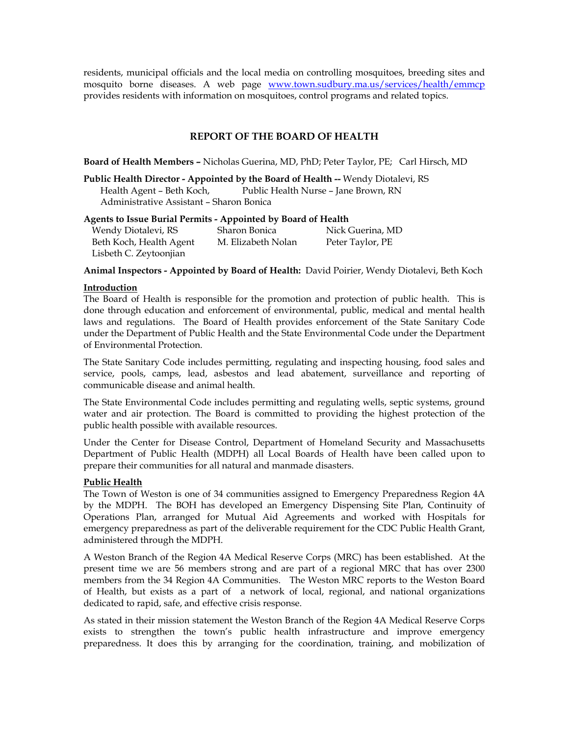residents, municipal officials and the local media on controlling mosquitoes, breeding sites and mosquito borne diseases. A web page www.town.sudbury.ma.us/services/health/emmcp provides residents with information on mosquitoes, control programs and related topics.

# **REPORT OF THE BOARD OF HEALTH**

**Board of Health Members –** Nicholas Guerina, MD, PhD; Peter Taylor, PE; Carl Hirsch, MD

**Public Health Director - Appointed by the Board of Health --** Wendy Diotalevi, RS Health Agent – Beth Koch, Public Health Nurse – Jane Brown, RN Administrative Assistant – Sharon Bonica

## **Agents to Issue Burial Permits - Appointed by Board of Health**

| Wendy Diotalevi, RS     | Sharon Bonica      | Nick Guerina, MD |
|-------------------------|--------------------|------------------|
| Beth Koch, Health Agent | M. Elizabeth Nolan | Peter Taylor, PE |
| Lisbeth C. Zeytoonjian  |                    |                  |

**Animal Inspectors - Appointed by Board of Health:** David Poirier, Wendy Diotalevi, Beth Koch

## **Introduction**

The Board of Health is responsible for the promotion and protection of public health. This is done through education and enforcement of environmental, public, medical and mental health laws and regulations. The Board of Health provides enforcement of the State Sanitary Code under the Department of Public Health and the State Environmental Code under the Department of Environmental Protection.

The State Sanitary Code includes permitting, regulating and inspecting housing, food sales and service, pools, camps, lead, asbestos and lead abatement, surveillance and reporting of communicable disease and animal health.

The State Environmental Code includes permitting and regulating wells, septic systems, ground water and air protection. The Board is committed to providing the highest protection of the public health possible with available resources.

Under the Center for Disease Control, Department of Homeland Security and Massachusetts Department of Public Health (MDPH) all Local Boards of Health have been called upon to prepare their communities for all natural and manmade disasters.

# **Public Health**

The Town of Weston is one of 34 communities assigned to Emergency Preparedness Region 4A by the MDPH. The BOH has developed an Emergency Dispensing Site Plan, Continuity of Operations Plan, arranged for Mutual Aid Agreements and worked with Hospitals for emergency preparedness as part of the deliverable requirement for the CDC Public Health Grant, administered through the MDPH.

A Weston Branch of the Region 4A Medical Reserve Corps (MRC) has been established. At the present time we are 56 members strong and are part of a regional MRC that has over 2300 members from the 34 Region 4A Communities. The Weston MRC reports to the Weston Board of Health, but exists as a part of a network of local, regional, and national organizations dedicated to rapid, safe, and effective crisis response.

As stated in their mission statement the Weston Branch of the Region 4A Medical Reserve Corps exists to strengthen the town's public health infrastructure and improve emergency preparedness. It does this by arranging for the coordination, training, and mobilization of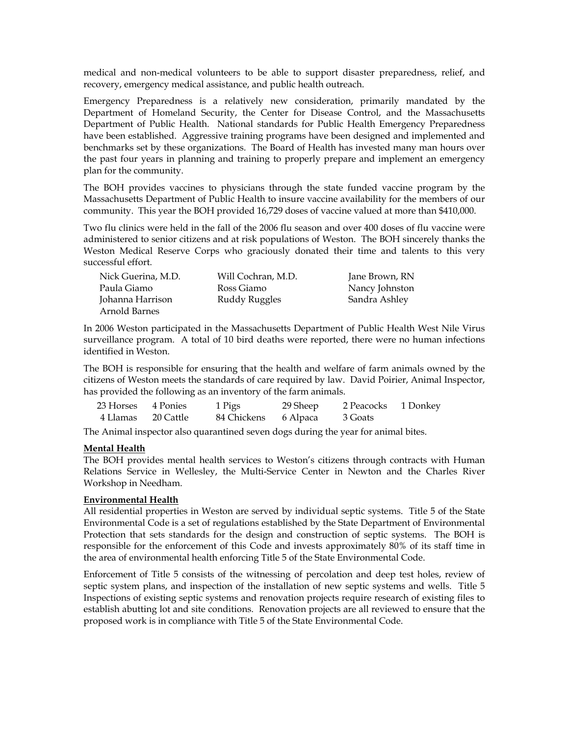medical and non-medical volunteers to be able to support disaster preparedness, relief, and recovery, emergency medical assistance, and public health outreach.

Emergency Preparedness is a relatively new consideration, primarily mandated by the Department of Homeland Security, the Center for Disease Control, and the Massachusetts Department of Public Health. National standards for Public Health Emergency Preparedness have been established. Aggressive training programs have been designed and implemented and benchmarks set by these organizations. The Board of Health has invested many man hours over the past four years in planning and training to properly prepare and implement an emergency plan for the community.

The BOH provides vaccines to physicians through the state funded vaccine program by the Massachusetts Department of Public Health to insure vaccine availability for the members of our community. This year the BOH provided 16,729 doses of vaccine valued at more than \$410,000.

Two flu clinics were held in the fall of the 2006 flu season and over 400 doses of flu vaccine were administered to senior citizens and at risk populations of Weston. The BOH sincerely thanks the Weston Medical Reserve Corps who graciously donated their time and talents to this very successful effort.

| Nick Guerina, M.D. | Will Cochran, M.D. | Jane Brown, RN |
|--------------------|--------------------|----------------|
| Paula Giamo        | Ross Giamo         | Nancy Johnston |
| Johanna Harrison   | Ruddy Ruggles      | Sandra Ashley  |
| Arnold Barnes      |                    |                |

In 2006 Weston participated in the Massachusetts Department of Public Health West Nile Virus surveillance program. A total of 10 bird deaths were reported, there were no human infections identified in Weston.

The BOH is responsible for ensuring that the health and welfare of farm animals owned by the citizens of Weston meets the standards of care required by law. David Poirier, Animal Inspector, has provided the following as an inventory of the farm animals.

| 23 Horses 4 Ponies | 1 Pigs               | 29 Sheep | 2 Peacocks 1 Donkey |  |
|--------------------|----------------------|----------|---------------------|--|
| 4 Llamas 20 Cattle | 84 Chickens 6 Alpaca |          | 3 Goats             |  |

The Animal inspector also quarantined seven dogs during the year for animal bites.

## **Mental Health**

The BOH provides mental health services to Weston's citizens through contracts with Human Relations Service in Wellesley, the Multi-Service Center in Newton and the Charles River Workshop in Needham.

## **Environmental Health**

All residential properties in Weston are served by individual septic systems. Title 5 of the State Environmental Code is a set of regulations established by the State Department of Environmental Protection that sets standards for the design and construction of septic systems. The BOH is responsible for the enforcement of this Code and invests approximately 80% of its staff time in the area of environmental health enforcing Title 5 of the State Environmental Code.

Enforcement of Title 5 consists of the witnessing of percolation and deep test holes, review of septic system plans, and inspection of the installation of new septic systems and wells. Title 5 Inspections of existing septic systems and renovation projects require research of existing files to establish abutting lot and site conditions. Renovation projects are all reviewed to ensure that the proposed work is in compliance with Title 5 of the State Environmental Code.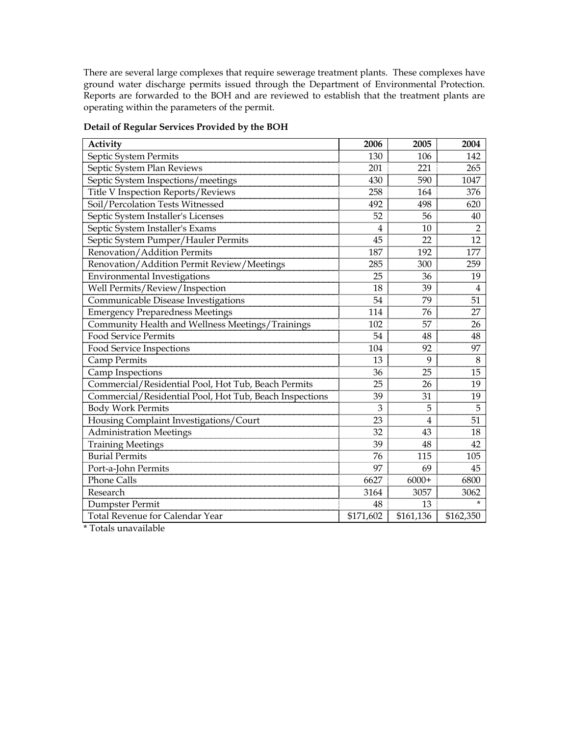There are several large complexes that require sewerage treatment plants. These complexes have ground water discharge permits issued through the Department of Environmental Protection. Reports are forwarded to the BOH and are reviewed to establish that the treatment plants are operating within the parameters of the permit.

| Activity                                                | 2006      | 2005      | 2004           |
|---------------------------------------------------------|-----------|-----------|----------------|
| Septic System Permits                                   | 130       | 106       | 142            |
| Septic System Plan Reviews                              | 201       | 221       | 265            |
| Septic System Inspections/meetings                      | 430       | 590       | 1047           |
| Title V Inspection Reports/Reviews                      | 258       | 164       | 376            |
| Soil/Percolation Tests Witnessed                        | 492       | 498       | 620            |
| Septic System Installer's Licenses                      | 52        | 56        | 40             |
| Septic System Installer's Exams                         | 4         | 10        | $\overline{2}$ |
| Septic System Pumper/Hauler Permits                     | 45        | 22        | 12             |
| Renovation/Addition Permits                             | 187       | 192       | 177            |
| Renovation/Addition Permit Review/Meetings              | 285       | 300       | 259            |
| Environmental Investigations                            | 25        | 36        | 19             |
| Well Permits/Review/Inspection                          | 18        | 39        | 4              |
| Communicable Disease Investigations                     | 54        | 79        | 51             |
| <b>Emergency Preparedness Meetings</b>                  | 114       | 76        | 27             |
| Community Health and Wellness Meetings/Trainings        | 102       | 57        | 26             |
| <b>Food Service Permits</b>                             | 54        | 48        | 48             |
| <b>Food Service Inspections</b>                         | 104       | 92        | 97             |
| <b>Camp Permits</b>                                     | 13        | 9         | 8              |
| Camp Inspections                                        | 36        | 25        | 15             |
| Commercial/Residential Pool, Hot Tub, Beach Permits     | 25        | 26        | 19             |
| Commercial/Residential Pool, Hot Tub, Beach Inspections | 39        | 31        | 19             |
| <b>Body Work Permits</b>                                | 3         | 5         | 5              |
| Housing Complaint Investigations/Court                  | 23        | 4         | 51             |
| <b>Administration Meetings</b>                          | 32        | 43        | 18             |
| <b>Training Meetings</b>                                | 39        | 48        | 42             |
| <b>Burial Permits</b>                                   | 76        | 115       | 105            |
| Port-a-John Permits                                     | 97        | 69        | 45             |
| <b>Phone Calls</b>                                      | 6627      | $6000+$   | 6800           |
| Research                                                | 3164      | 3057      | 3062           |
| Dumpster Permit                                         | 48        | 13        |                |
| Total Revenue for Calendar Year                         | \$171,602 | \$161,136 | \$162,350      |

# **Detail of Regular Services Provided by the BOH**

\* Totals unavailable